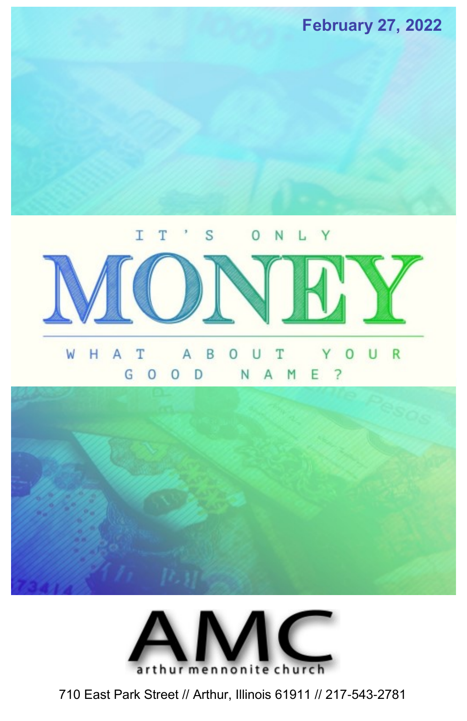



710 East Park Street // Arthur, Illinois 61911 // 217-543-2781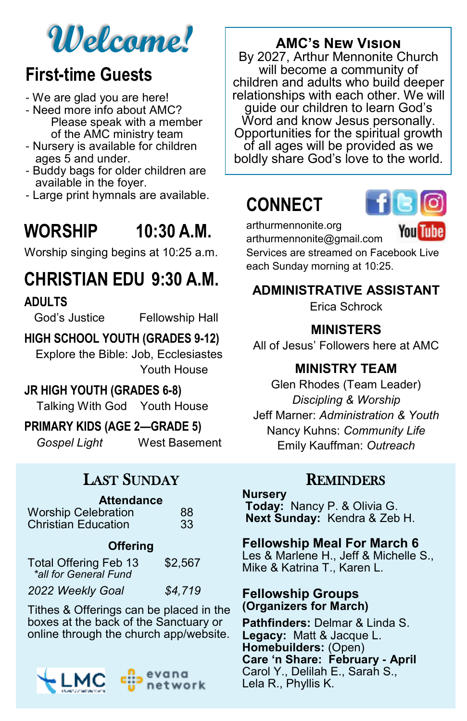# **Welcome!**

### **First-time Guests**

- We are glad you are here!
- Need more info about AMC? Please speak with a member of the AMC ministry team
- Nursery is available for children ages 5 and under.
- Buddy bags for older children are available in the foyer.
- Large print hymnals are available.

# **WORSHIP 10:30 A.M.**

Worship singing begins at 10:25 a.m.

# **CHRISTIAN EDU 9:30 A.M.**

#### **ADULTS**

God's Justice Fellowship Hall

#### **HIGH SCHOOL YOUTH (GRADES 9-12)**

Explore the Bible: Job, Ecclesiastes Youth House

#### **JR HIGH YOUTH (GRADES 6-8)**

Talking With God Youth House

#### **PRIMARY KIDS (AGE 2—GRADE 5)**

*Gospel Light* West Basement

### LAST SUNDAY

#### **Attendance**

| <b>Worship Celebration</b> | 88 |  |
|----------------------------|----|--|
| <b>Christian Education</b> | 33 |  |

#### **Offering**

| <b>Total Offering Feb 13</b><br>*all for General Fund | \$2,567 |
|-------------------------------------------------------|---------|
| 2022 Weekly Goal                                      | \$4,719 |

Tithes & Offerings can be placed in the boxes at the back of the Sanctuary or online through the church app/website.



### **AMC's New Vision**

By 2027, Arthur Mennonite Church will become a community of children and adults who build deeper relationships with each other. We will guide our children to learn God's Word and know Jesus personally. Opportunities for the spiritual growth of all ages will be provided as we boldly share God's love to the world.

# **CONNECT**



arthurmennonite.org arthurmennonite@gmail.com

You Tube

Services are streamed on Facebook Live each Sunday morning at 10:25.

### **ADMINISTRATIVE ASSISTANT**

Erica Schrock

#### **MINISTERS**

All of Jesus' Followers here at AMC

### **MINISTRY TEAM**

Glen Rhodes (Team Leader) *Discipling & Worship*  Jeff Marner: *Administration & Youth* Nancy Kuhns: *Community Life* Emily Kauffman: *Outreach*

### **REMINDERS**

#### **Nursery**

**Today:** Nancy P. & Olivia G. **Next Sunday:** Kendra & Zeb H.

#### **Fellowship Meal For March 6**

Les & Marlene H., Jeff & Michelle S., Mike & Katrina T., Karen L.

#### **Fellowship Groups (Organizers for March)**

**Pathfinders:** Delmar & Linda S. **Legacy:** Matt & Jacque L. **Homebuilders:** (Open) **Care 'n Share: February - April** Carol Y., Delilah E., Sarah S., Lela R., Phyllis K.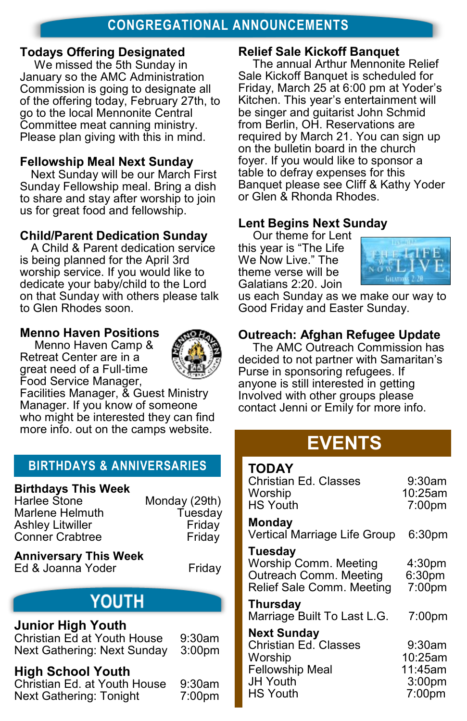#### **Todays Offering Designated**

We missed the 5th Sunday in January so the AMC Administration Commission is going to designate all of the offering today, February 27th, to go to the local Mennonite Central Committee meat canning ministry. Please plan giving with this in mind.

#### **Fellowship Meal Next Sunday**

Next Sunday will be our March First Sunday Fellowship meal. Bring a dish to share and stay after worship to join us for great food and fellowship.

#### **Child/Parent Dedication Sunday**

A Child & Parent dedication service is being planned for the April 3rd worship service. If you would like to dedicate your baby/child to the Lord on that Sunday with others please talk to Glen Rhodes soon.

#### **Menno Haven Positions**

Menno Haven Camp & Retreat Center are in a great need of a Full-time Food Service Manager,



Facilities Manager, & Guest Ministry Manager. If you know of someone who might be interested they can find more info. out on the camps website.

### **BIRTHDAYS & ANNIVERSARIES**

### **Birthdays This Week**

Marlene Helmuth Tuesday Ashley Litwiller **Friday** Conner Crabtree Friday

Monday (29th)

**Anniversary This Week** Ed & Joanna Yoder Friday

### **YOUTH**

#### **Junior High Youth**

Christian Ed at Youth House 9:30am Next Gathering: Next Sunday 3:00pm

#### **High School Youth**

Christian Ed. at Youth House 9:30am Next Gathering: Tonight 7:00pm

#### **Relief Sale Kickoff Banquet**

The annual Arthur Mennonite Relief Sale Kickoff Banquet is scheduled for Friday, March 25 at 6:00 pm at Yoder's Kitchen. This year's entertainment will be singer and guitarist John Schmid from Berlin, OH. Reservations are required by March 21. You can sign up on the bulletin board in the church foyer. If you would like to sponsor a table to defray expenses for this Banquet please see Cliff & Kathy Yoder or Glen & Rhonda Rhodes.

#### **Lent Begins Next Sunday**

Our theme for Lent this year is "The Life We Now Live." The theme verse will be Galatians 2:20. Join



us each Sunday as we make our way to Good Friday and Easter Sunday.

#### **Outreach: Afghan Refugee Update**

The AMC Outreach Commission has decided to not partner with Samaritan's Purse in sponsoring refugees. If anyone is still interested in getting Involved with other groups please contact Jenni or Emily for more info.

### **EVENTS**

| <b>TODAY</b><br>Christian Ed. Classes<br>Worship<br><b>HS Youth</b>                     | 9:30am<br>10:25am<br>7:00 <sub>pm</sub>               |
|-----------------------------------------------------------------------------------------|-------------------------------------------------------|
| <b>Monday</b><br>Vertical Marriage Life Group                                           | 6:30pm                                                |
| Tuesday<br>Worship Comm. Meeting<br>Outreach Comm. Meeting<br>Relief Sale Comm. Meeting | 4:30 <sub>pm</sub><br>6:30 <sub>pm</sub><br>$7:00$ pm |
| Thursday<br>Marriage Built To Last L.G.                                                 | 7:00pm                                                |
| <b>Next Sunday</b><br>Christian Ed. Classes<br>Worship<br>Fellowship Meal               | $9:30$ am<br>10:25am<br>11:45am                       |

JH Youth 3:00pm HS Youth 7:00pm